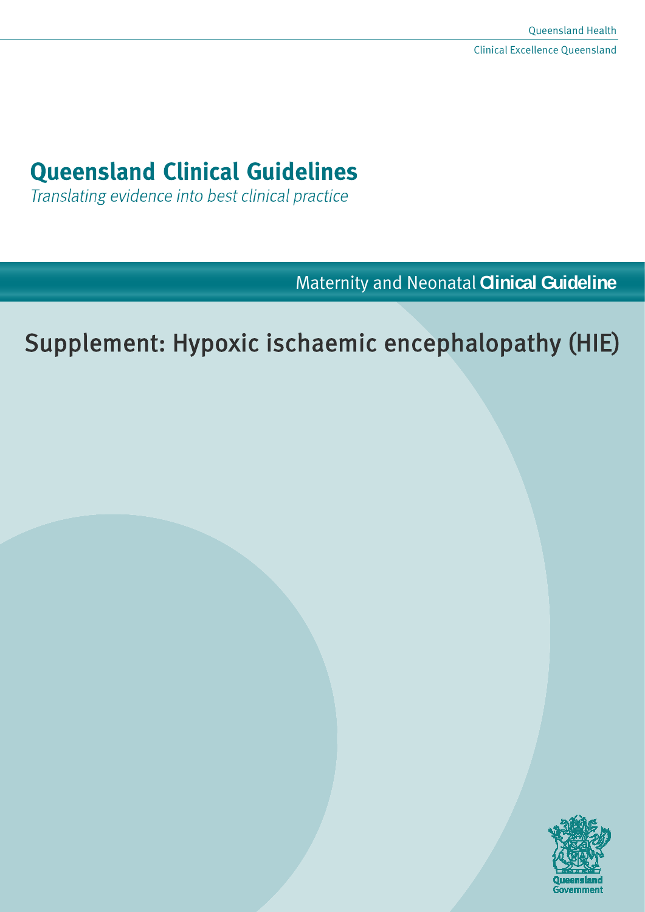# **Queensland Clinical Guidelines**

Translating evidence into best clinical practice

Maternity and Neonatal **Clinical Guideline**

# Supplement: Hypoxic ischaemic encephalopathy (HIE)

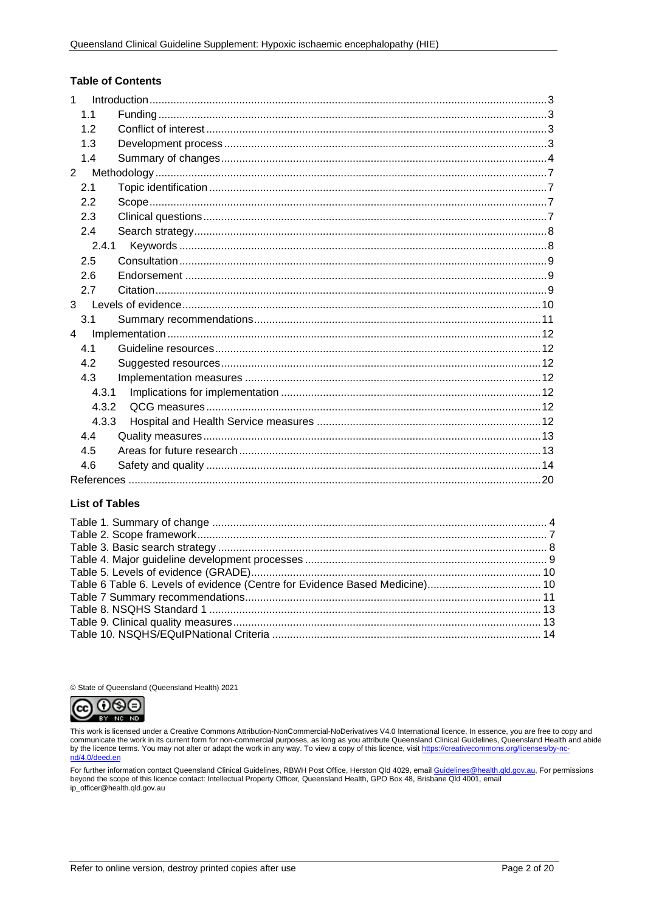#### **Table of Contents**

| $\mathbf{1}$   |  |
|----------------|--|
| 1.1            |  |
| 1.2            |  |
| 1.3            |  |
| 1.4            |  |
| $\overline{2}$ |  |
| 2.1            |  |
| 2.2            |  |
| 2.3            |  |
| 2.4            |  |
| 2.4.1          |  |
| 2.5            |  |
| 2.6            |  |
| 2.7            |  |
| 3 <sup>7</sup> |  |
| 3.1            |  |
| $\overline{4}$ |  |
| 4.1            |  |
| 4.2            |  |
| 4.3            |  |
| 4.3.1          |  |
| 4.3.2          |  |
| 4.3.3          |  |
| 4.4            |  |
| 4.5            |  |
| 4.6            |  |
|                |  |

#### **List of Tables**

© State of Queensland (Queensland Health) 2021



This work is licensed under a Creative Commons Attribution-NonCommercial-NoDerivatives V4.0 International licence. In essence, you are free to copy and<br>communicate the work in its current form for non-commercial purposes,

For further information contact Queensland Clinical Guidelines, RBWH Post Office, Herston Qld 4029, email Guidelines@health.qld.gov.au, For permissions<br>beyond the scope of this licence contact: Intellectual Property Office ip\_officer@health.qld.gov.au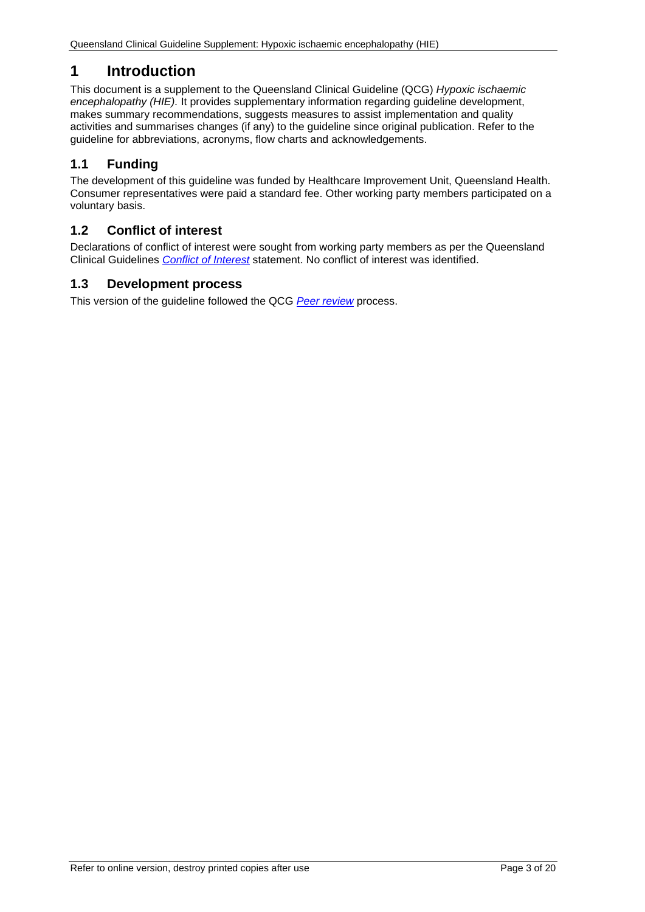# <span id="page-2-0"></span>**1 Introduction**

This document is a supplement to the Queensland Clinical Guideline (QCG) *Hypoxic ischaemic encephalopathy (HIE).* It provides supplementary information regarding guideline development, makes summary recommendations, suggests measures to assist implementation and quality activities and summarises changes (if any) to the guideline since original publication. Refer to the guideline for abbreviations, acronyms, flow charts and acknowledgements.

# <span id="page-2-1"></span>**1.1 Funding**

The development of this guideline was funded by Healthcare Improvement Unit, Queensland Health. Consumer representatives were paid a standard fee. Other working party members participated on a voluntary basis.

### <span id="page-2-2"></span>**1.2 Conflict of interest**

Declarations of conflict of interest were sought from working party members as per the Queensland Clinical Guidelines *[Conflict of Interest](http://www.health.qld.gov.au/qcg/development#coi)* statement. No conflict of interest was identified.

#### <span id="page-2-3"></span>**1.3 Development process**

This version of the guideline followed the QCG *[Peer review](https://www.health.qld.gov.au/qcg/development)* process.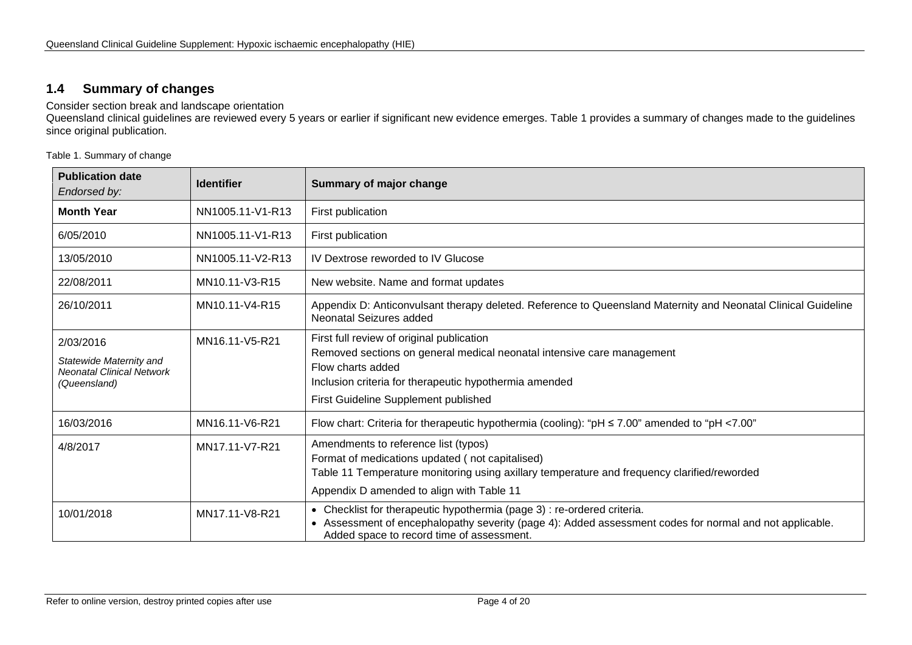#### **1.4 Summary of changes**

Consider section break and landscape orientation

Queensland clinical guidelines are reviewed every 5 years or earlier if significant new evidence emerges. [Table 1](#page-3-2) provides a summary of changes made to the guidelines since original publication.

<span id="page-3-2"></span>Table 1. Summary of change

<span id="page-3-1"></span><span id="page-3-0"></span>

| <b>Publication date</b><br>Endorsed by:                                                  | <b>Identifier</b> | Summary of major change                                                                                                                                                                                                                    |  |
|------------------------------------------------------------------------------------------|-------------------|--------------------------------------------------------------------------------------------------------------------------------------------------------------------------------------------------------------------------------------------|--|
| <b>Month Year</b>                                                                        | NN1005.11-V1-R13  | First publication                                                                                                                                                                                                                          |  |
| 6/05/2010                                                                                | NN1005.11-V1-R13  | First publication                                                                                                                                                                                                                          |  |
| 13/05/2010                                                                               | NN1005.11-V2-R13  | IV Dextrose reworded to IV Glucose                                                                                                                                                                                                         |  |
| 22/08/2011                                                                               | MN10.11-V3-R15    | New website. Name and format updates                                                                                                                                                                                                       |  |
| 26/10/2011                                                                               | MN10.11-V4-R15    | Appendix D: Anticonvulsant therapy deleted. Reference to Queensland Maternity and Neonatal Clinical Guideline<br>Neonatal Seizures added                                                                                                   |  |
| 2/03/2016<br>Statewide Maternity and<br><b>Neonatal Clinical Network</b><br>(Queensland) | MN16.11-V5-R21    | First full review of original publication<br>Removed sections on general medical neonatal intensive care management<br>Flow charts added<br>Inclusion criteria for therapeutic hypothermia amended<br>First Guideline Supplement published |  |
| 16/03/2016                                                                               | MN16.11-V6-R21    | Flow chart: Criteria for therapeutic hypothermia (cooling): "pH ≤ 7.00" amended to "pH <7.00"                                                                                                                                              |  |
| 4/8/2017                                                                                 | MN17.11-V7-R21    | Amendments to reference list (typos)<br>Format of medications updated (not capitalised)<br>Table 11 Temperature monitoring using axillary temperature and frequency clarified/reworded<br>Appendix D amended to align with Table 11        |  |
| 10/01/2018                                                                               | MN17.11-V8-R21    | • Checklist for therapeutic hypothermia (page 3) : re-ordered criteria.<br>Assessment of encephalopathy severity (page 4): Added assessment codes for normal and not applicable.<br>$\bullet$<br>Added space to record time of assessment. |  |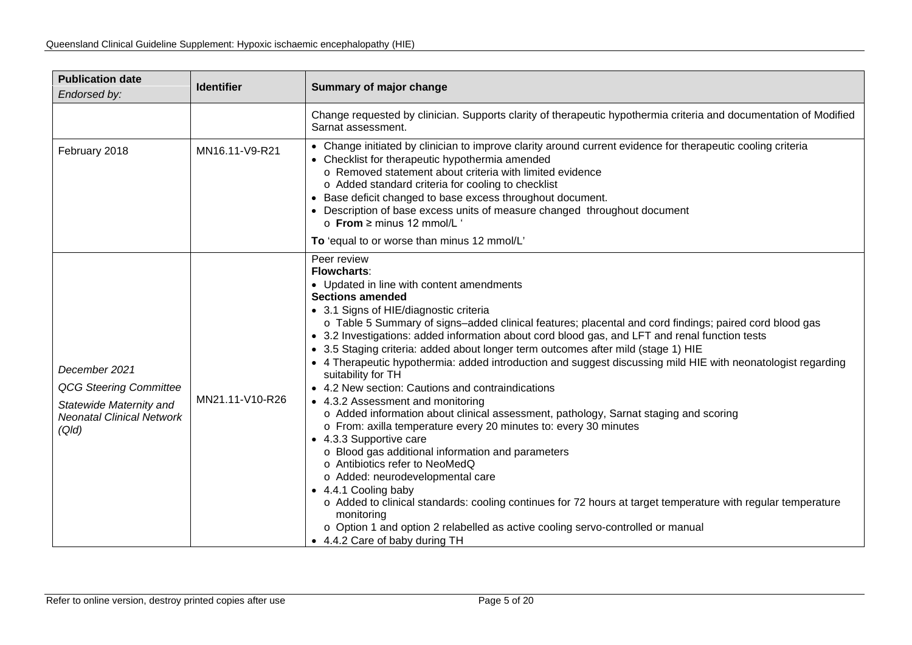| <b>Publication date</b><br>Endorsed by:                                                                                | <b>Identifier</b> | Summary of major change                                                                                                                                                                                                                                                                                                                                                                                                                                                                                                                                                                                                                                                                                                                                                                                                                                                                                                                                                                                                                                                                                                                                                                                                                                                         |  |  |
|------------------------------------------------------------------------------------------------------------------------|-------------------|---------------------------------------------------------------------------------------------------------------------------------------------------------------------------------------------------------------------------------------------------------------------------------------------------------------------------------------------------------------------------------------------------------------------------------------------------------------------------------------------------------------------------------------------------------------------------------------------------------------------------------------------------------------------------------------------------------------------------------------------------------------------------------------------------------------------------------------------------------------------------------------------------------------------------------------------------------------------------------------------------------------------------------------------------------------------------------------------------------------------------------------------------------------------------------------------------------------------------------------------------------------------------------|--|--|
|                                                                                                                        |                   | Change requested by clinician. Supports clarity of therapeutic hypothermia criteria and documentation of Modified<br>Sarnat assessment.                                                                                                                                                                                                                                                                                                                                                                                                                                                                                                                                                                                                                                                                                                                                                                                                                                                                                                                                                                                                                                                                                                                                         |  |  |
| February 2018                                                                                                          | MN16.11-V9-R21    | • Change initiated by clinician to improve clarity around current evidence for therapeutic cooling criteria<br>• Checklist for therapeutic hypothermia amended<br>o Removed statement about criteria with limited evidence<br>o Added standard criteria for cooling to checklist<br>Base deficit changed to base excess throughout document.<br>$\bullet$<br>• Description of base excess units of measure changed throughout document<br>$\circ$ From $\geq$ minus 12 mmol/L '<br>To 'equal to or worse than minus 12 mmol/L'                                                                                                                                                                                                                                                                                                                                                                                                                                                                                                                                                                                                                                                                                                                                                  |  |  |
| December 2021<br><b>QCG Steering Committee</b><br>Statewide Maternity and<br><b>Neonatal Clinical Network</b><br>(Qld) | MN21.11-V10-R26   | Peer review<br><b>Flowcharts:</b><br>• Updated in line with content amendments<br><b>Sections amended</b><br>• 3.1 Signs of HIE/diagnostic criteria<br>o Table 5 Summary of signs-added clinical features; placental and cord findings; paired cord blood gas<br>• 3.2 Investigations: added information about cord blood gas, and LFT and renal function tests<br>3.5 Staging criteria: added about longer term outcomes after mild (stage 1) HIE<br>• 4 Therapeutic hypothermia: added introduction and suggest discussing mild HIE with neonatologist regarding<br>suitability for TH<br>• 4.2 New section: Cautions and contraindications<br>• 4.3.2 Assessment and monitoring<br>o Added information about clinical assessment, pathology, Sarnat staging and scoring<br>o From: axilla temperature every 20 minutes to: every 30 minutes<br>• 4.3.3 Supportive care<br>o Blood gas additional information and parameters<br>o Antibiotics refer to NeoMedQ<br>o Added: neurodevelopmental care<br>• 4.4.1 Cooling baby<br>o Added to clinical standards: cooling continues for 72 hours at target temperature with regular temperature<br>monitoring<br>o Option 1 and option 2 relabelled as active cooling servo-controlled or manual<br>• 4.4.2 Care of baby during TH |  |  |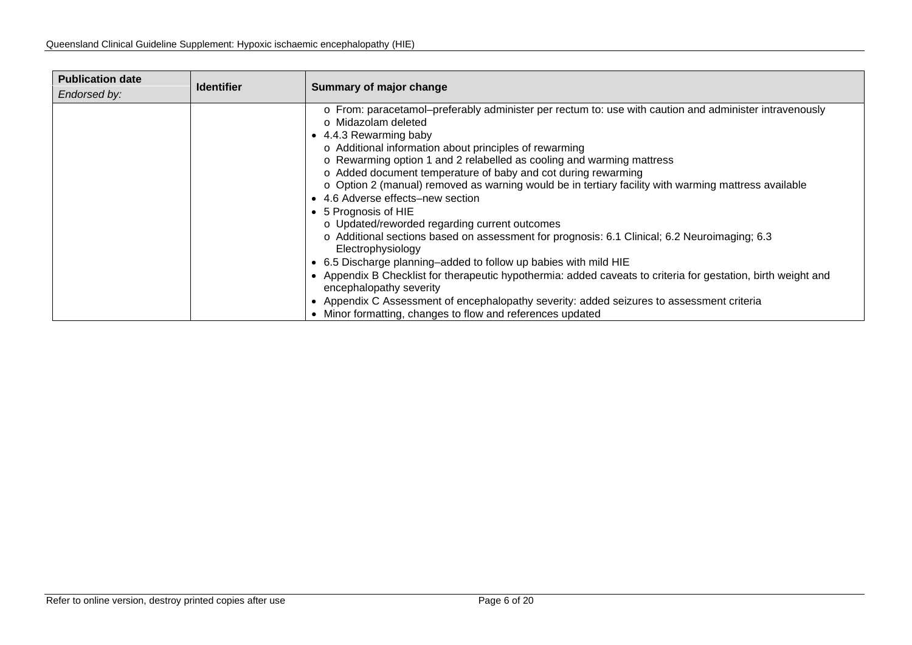| <b>Publication date</b><br>Endorsed by: | <b>Identifier</b> | Summary of major change                                                                                                                                                                                                                                                                                                                                                                                                                                                                                                                                                                                                                                                                                                                                                                                                                                                                                                                                                                                                                                                         |
|-----------------------------------------|-------------------|---------------------------------------------------------------------------------------------------------------------------------------------------------------------------------------------------------------------------------------------------------------------------------------------------------------------------------------------------------------------------------------------------------------------------------------------------------------------------------------------------------------------------------------------------------------------------------------------------------------------------------------------------------------------------------------------------------------------------------------------------------------------------------------------------------------------------------------------------------------------------------------------------------------------------------------------------------------------------------------------------------------------------------------------------------------------------------|
|                                         |                   | o From: paracetamol-preferably administer per rectum to: use with caution and administer intravenously<br>o Midazolam deleted<br>• 4.4.3 Rewarming baby<br>o Additional information about principles of rewarming<br>o Rewarming option 1 and 2 relabelled as cooling and warming mattress<br>o Added document temperature of baby and cot during rewarming<br>o Option 2 (manual) removed as warning would be in tertiary facility with warming mattress available<br>4.6 Adverse effects-new section<br>• 5 Prognosis of HIE<br>o Updated/reworded regarding current outcomes<br>o Additional sections based on assessment for prognosis: 6.1 Clinical; 6.2 Neuroimaging; 6.3<br>Electrophysiology<br>• 6.5 Discharge planning-added to follow up babies with mild HIE<br>• Appendix B Checklist for therapeutic hypothermia: added caveats to criteria for gestation, birth weight and<br>encephalopathy severity<br>• Appendix C Assessment of encephalopathy severity: added seizures to assessment criteria<br>• Minor formatting, changes to flow and references updated |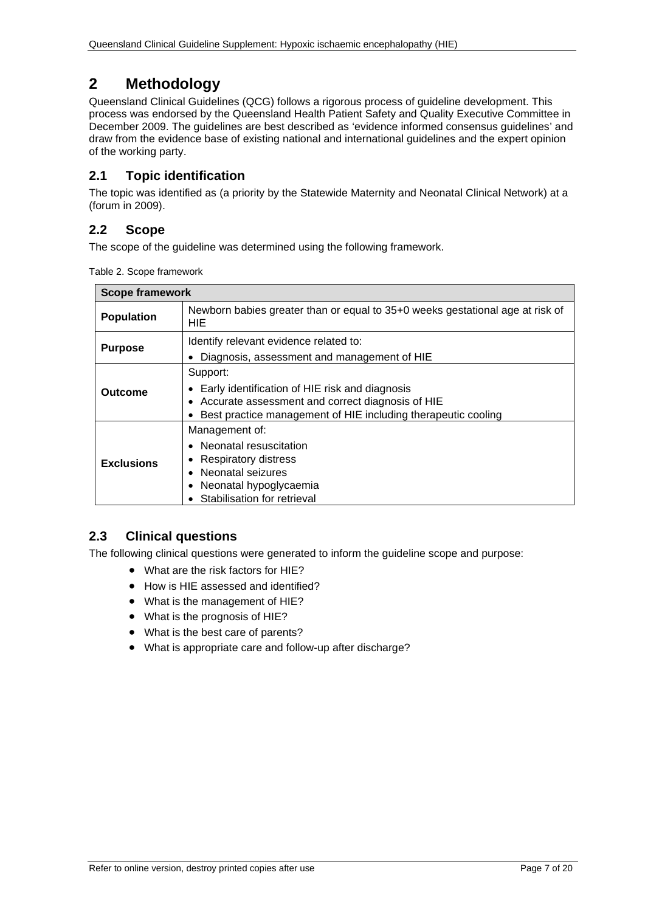# <span id="page-6-0"></span>**2 Methodology**

Queensland Clinical Guidelines (QCG) follows a rigorous process of guideline development. This process was endorsed by the Queensland Health Patient Safety and Quality Executive Committee in December 2009. The guidelines are best described as 'evidence informed consensus guidelines' and draw from the evidence base of existing national and international guidelines and the expert opinion of the working party.

## <span id="page-6-1"></span>**2.1 Topic identification**

The topic was identified as (a priority by the Statewide Maternity and Neonatal Clinical Network) at a (forum in 2009).

## <span id="page-6-2"></span>**2.2 Scope**

<span id="page-6-4"></span>The scope of the guideline was determined using the following framework.

|  |  | Table 2. Scope framework |
|--|--|--------------------------|
|--|--|--------------------------|

| <b>Scope framework</b>                                                                                    |                                                                                                                                                                                   |  |  |  |
|-----------------------------------------------------------------------------------------------------------|-----------------------------------------------------------------------------------------------------------------------------------------------------------------------------------|--|--|--|
| Newborn babies greater than or equal to 35+0 weeks gestational age at risk of<br><b>Population</b><br>HIE |                                                                                                                                                                                   |  |  |  |
| Identify relevant evidence related to:<br><b>Purpose</b><br>Diagnosis, assessment and management of HIE   |                                                                                                                                                                                   |  |  |  |
| Outcome                                                                                                   | Support:<br>Early identification of HIE risk and diagnosis<br>• Accurate assessment and correct diagnosis of HIE<br>Best practice management of HIE including therapeutic cooling |  |  |  |
| <b>Exclusions</b>                                                                                         | Management of:<br>• Neonatal resuscitation<br>Respiratory distress<br>Neonatal seizures<br>Neonatal hypoglycaemia<br>Stabilisation for retrieval                                  |  |  |  |

## <span id="page-6-3"></span>**2.3 Clinical questions**

The following clinical questions were generated to inform the guideline scope and purpose:

- What are the risk factors for HIE?
- How is HIE assessed and identified?
- What is the management of HIE?
- What is the prognosis of HIE?
- What is the best care of parents?
- What is appropriate care and follow-up after discharge?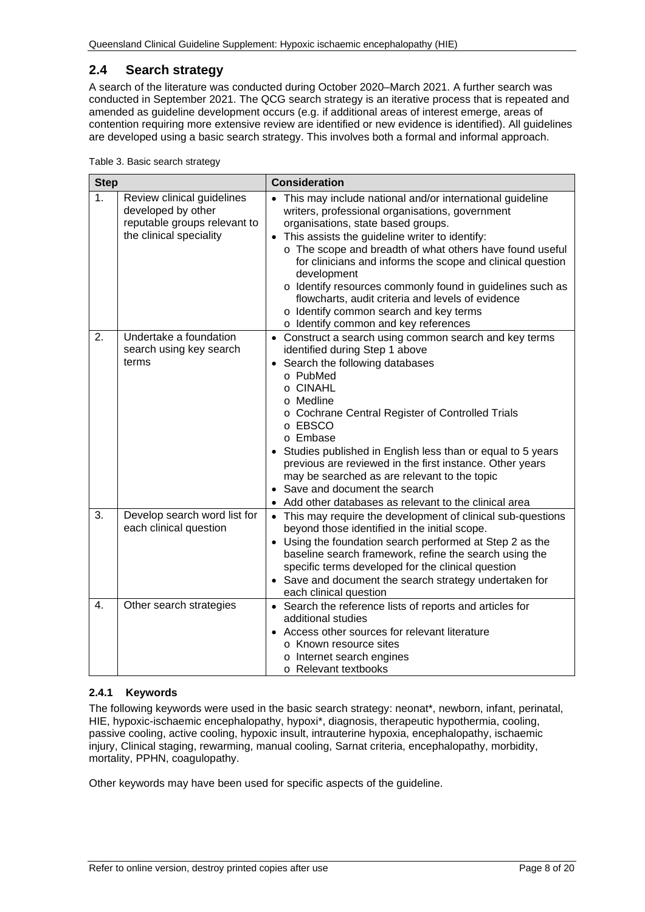#### <span id="page-7-0"></span>**2.4 Search strategy**

A search of the literature was conducted during October 2020–March 2021. A further search was conducted in September 2021. The QCG search strategy is an iterative process that is repeated and amended as guideline development occurs (e.g. if additional areas of interest emerge, areas of contention requiring more extensive review are identified or new evidence is identified). All guidelines are developed using a basic search strategy. This involves both a formal and informal approach.

<span id="page-7-2"></span>

|  |  | Table 3. Basic search strategy |
|--|--|--------------------------------|
|  |  |                                |

| <b>Step</b>      |                                                                                                             | <b>Consideration</b>                                                                                                                                                                                                                                                                                                                                                                                                                                                                                                                               |  |  |
|------------------|-------------------------------------------------------------------------------------------------------------|----------------------------------------------------------------------------------------------------------------------------------------------------------------------------------------------------------------------------------------------------------------------------------------------------------------------------------------------------------------------------------------------------------------------------------------------------------------------------------------------------------------------------------------------------|--|--|
| 1 <sub>1</sub>   | Review clinical guidelines<br>developed by other<br>reputable groups relevant to<br>the clinical speciality | This may include national and/or international guideline<br>writers, professional organisations, government<br>organisations, state based groups.<br>• This assists the guideline writer to identify:<br>o The scope and breadth of what others have found useful<br>for clinicians and informs the scope and clinical question<br>development<br>o Identify resources commonly found in guidelines such as<br>flowcharts, audit criteria and levels of evidence<br>o Identify common search and key terms<br>o Identify common and key references |  |  |
| 2.               | Undertake a foundation<br>search using key search<br>terms                                                  | • Construct a search using common search and key terms<br>identified during Step 1 above<br>• Search the following databases<br>o PubMed<br>o CINAHL<br>o Medline<br>o Cochrane Central Register of Controlled Trials<br>o EBSCO<br>o Embase<br>Studies published in English less than or equal to 5 years<br>previous are reviewed in the first instance. Other years<br>may be searched as are relevant to the topic<br>Save and document the search<br>Add other databases as relevant to the clinical area                                     |  |  |
| 3.               | Develop search word list for<br>each clinical question                                                      | • This may require the development of clinical sub-questions<br>beyond those identified in the initial scope.<br>• Using the foundation search performed at Step 2 as the<br>baseline search framework, refine the search using the<br>specific terms developed for the clinical question<br>• Save and document the search strategy undertaken for<br>each clinical question                                                                                                                                                                      |  |  |
| $\overline{4}$ . | Other search strategies                                                                                     | • Search the reference lists of reports and articles for<br>additional studies<br>• Access other sources for relevant literature<br>o Known resource sites<br>o Internet search engines<br>o Relevant textbooks                                                                                                                                                                                                                                                                                                                                    |  |  |

#### <span id="page-7-1"></span>**2.4.1 Keywords**

The following keywords were used in the basic search strategy: neonat\*, newborn, infant, perinatal, HIE, hypoxic-ischaemic encephalopathy, hypoxi\*, diagnosis, therapeutic hypothermia, cooling, passive cooling, active cooling, hypoxic insult, intrauterine hypoxia, encephalopathy, ischaemic injury, Clinical staging, rewarming, manual cooling, Sarnat criteria, encephalopathy, morbidity, mortality, PPHN, coagulopathy.

Other keywords may have been used for specific aspects of the guideline.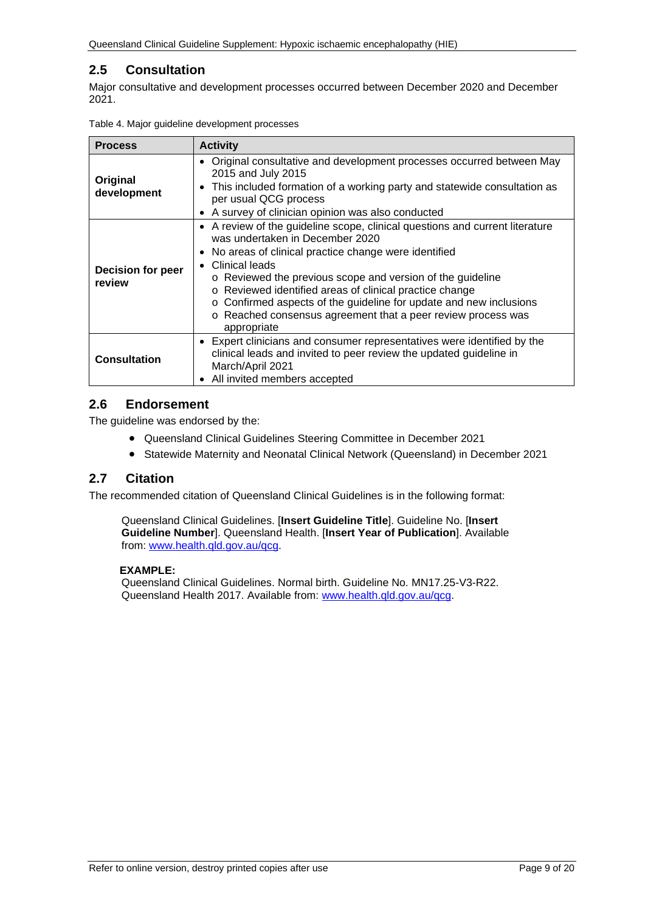## <span id="page-8-0"></span>**2.5 Consultation**

Major consultative and development processes occurred between December 2020 and December 2021.

| <b>Process</b>                     | <b>Activity</b>                                                                                                                                                                                                                                                                                                                                                                                                                                                                                   |  |  |  |
|------------------------------------|---------------------------------------------------------------------------------------------------------------------------------------------------------------------------------------------------------------------------------------------------------------------------------------------------------------------------------------------------------------------------------------------------------------------------------------------------------------------------------------------------|--|--|--|
| Original<br>development            | • Original consultative and development processes occurred between May<br>2015 and July 2015<br>This included formation of a working party and statewide consultation as<br>$\bullet$<br>per usual QCG process<br>A survey of clinician opinion was also conducted<br>$\bullet$                                                                                                                                                                                                                   |  |  |  |
| <b>Decision for peer</b><br>review | • A review of the guideline scope, clinical questions and current literature<br>was undertaken in December 2020<br>No areas of clinical practice change were identified<br>$\bullet$<br>Clinical leads<br>$\bullet$<br>o Reviewed the previous scope and version of the quideline<br>o Reviewed identified areas of clinical practice change<br>o Confirmed aspects of the guideline for update and new inclusions<br>o Reached consensus agreement that a peer review process was<br>appropriate |  |  |  |
| <b>Consultation</b>                | • Expert clinicians and consumer representatives were identified by the<br>clinical leads and invited to peer review the updated guideline in<br>March/April 2021<br>All invited members accepted                                                                                                                                                                                                                                                                                                 |  |  |  |

<span id="page-8-3"></span>

|  | Table 4. Major guideline development processes |  |
|--|------------------------------------------------|--|
|  |                                                |  |

#### <span id="page-8-1"></span>**2.6 Endorsement**

The guideline was endorsed by the:

- Queensland Clinical Guidelines Steering Committee in December 2021
- Statewide Maternity and Neonatal Clinical Network (Queensland) in December 2021

#### <span id="page-8-2"></span>**2.7 Citation**

The recommended citation of Queensland Clinical Guidelines is in the following format:

Queensland Clinical Guidelines. [**Insert Guideline Title**]. Guideline No. [**Insert Guideline Number**]. Queensland Health. [**Insert Year of Publication**]. Available from: [www.health.qld.gov.au/qcg.](http://www.health.qld.gov.au/qcg)

#### **EXAMPLE:**

Queensland Clinical Guidelines. Normal birth. Guideline No. MN17.25-V3-R22. Queensland Health 2017. Available from: [www.health.qld.gov.au/qcg.](http://www.health.qld.gov.au/qcg)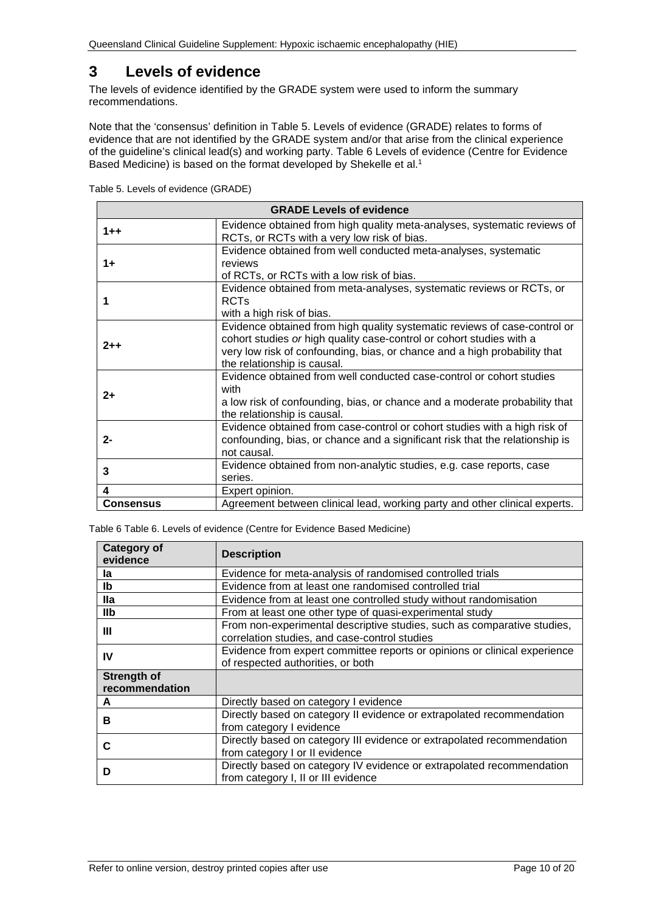# <span id="page-9-0"></span>**3 Levels of evidence**

The levels of evidence identified by the GRADE system were used to inform the summary recommendations.

Note that the 'consensus' definition in [Table 5. Levels of evidence \(GRADE\)](#page-9-1) relates to forms of evidence that are not identified by the GRADE system and/or that arise from the clinical experience of the guideline's clinical lead(s) and working party. Table 6 [Levels of evidence \(Centre for Evidence](#page-9-2)  [Based Medicine\)](#page-9-2) is based on the format developed by Shekelle et al.<sup>1</sup>

<span id="page-9-1"></span>

|  |  | Table 5. Levels of evidence (GRADE) |
|--|--|-------------------------------------|
|  |  |                                     |

| <b>GRADE Levels of evidence</b> |                                                                                                                                                                                                                                                               |  |
|---------------------------------|---------------------------------------------------------------------------------------------------------------------------------------------------------------------------------------------------------------------------------------------------------------|--|
| $1 + +$                         | Evidence obtained from high quality meta-analyses, systematic reviews of<br>RCTs, or RCTs with a very low risk of bias.                                                                                                                                       |  |
| 1+                              | Evidence obtained from well conducted meta-analyses, systematic<br>reviews<br>of RCTs, or RCTs with a low risk of bias.                                                                                                                                       |  |
|                                 | Evidence obtained from meta-analyses, systematic reviews or RCTs, or<br><b>RCTs</b><br>with a high risk of bias.                                                                                                                                              |  |
| $2 + +$                         | Evidence obtained from high quality systematic reviews of case-control or<br>cohort studies or high quality case-control or cohort studies with a<br>very low risk of confounding, bias, or chance and a high probability that<br>the relationship is causal. |  |
| $2+$                            | Evidence obtained from well conducted case-control or cohort studies<br>with<br>a low risk of confounding, bias, or chance and a moderate probability that<br>the relationship is causal.                                                                     |  |
| 2-                              | Evidence obtained from case-control or cohort studies with a high risk of<br>confounding, bias, or chance and a significant risk that the relationship is<br>not causal.                                                                                      |  |
| 3                               | Evidence obtained from non-analytic studies, e.g. case reports, case<br>series.                                                                                                                                                                               |  |
| 4                               | Expert opinion.                                                                                                                                                                                                                                               |  |
| <b>Consensus</b>                | Agreement between clinical lead, working party and other clinical experts.                                                                                                                                                                                    |  |

<span id="page-9-2"></span>Table 6 Table 6. Levels of evidence (Centre for Evidence Based Medicine)

| <b>Category of</b><br>evidence       | <b>Description</b>                                                                                                       |
|--------------------------------------|--------------------------------------------------------------------------------------------------------------------------|
| la                                   | Evidence for meta-analysis of randomised controlled trials                                                               |
| lb                                   | Evidence from at least one randomised controlled trial                                                                   |
| <b>Ila</b>                           | Evidence from at least one controlled study without randomisation                                                        |
| <b>IIb</b>                           | From at least one other type of quasi-experimental study                                                                 |
| Ш                                    | From non-experimental descriptive studies, such as comparative studies,<br>correlation studies, and case-control studies |
| IV                                   | Evidence from expert committee reports or opinions or clinical experience<br>of respected authorities, or both           |
| <b>Strength of</b><br>recommendation |                                                                                                                          |
| А                                    | Directly based on category I evidence                                                                                    |
| в                                    | Directly based on category II evidence or extrapolated recommendation<br>from category I evidence                        |
| С                                    | Directly based on category III evidence or extrapolated recommendation<br>from category I or II evidence                 |
| D                                    | Directly based on category IV evidence or extrapolated recommendation<br>from category I, II or III evidence             |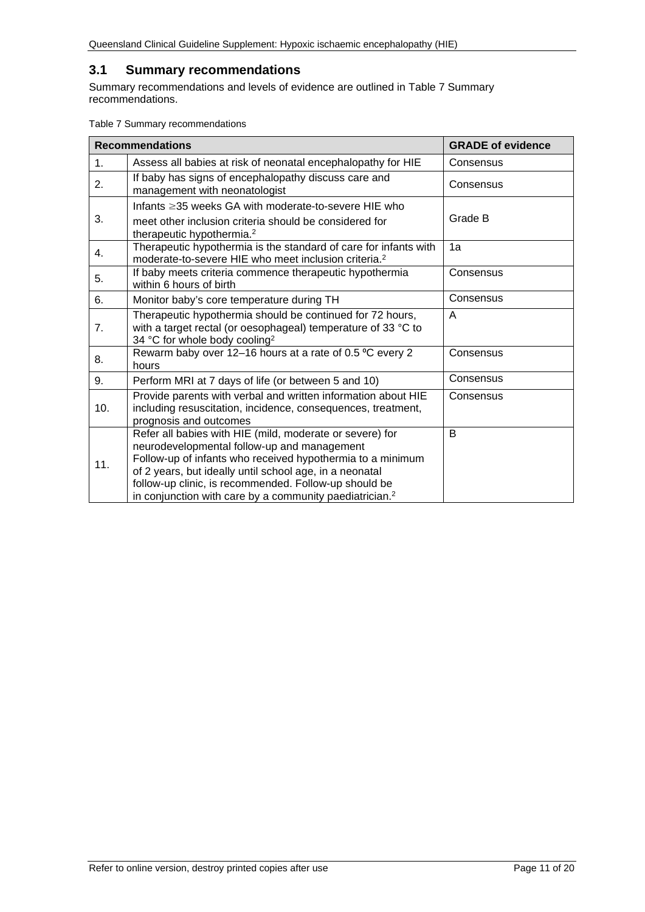#### <span id="page-10-0"></span>**3.1 Summary recommendations**

Summary recommendations and levels of evidence are outlined in Table 7 [Summary](#page-10-1)  [recommendations.](#page-10-1)

<span id="page-10-1"></span>

| Table 7 Summary recommendations |  |
|---------------------------------|--|
|---------------------------------|--|

|                | <b>Recommendations</b>                                                                                                                                                                                                                                                                                                                                           | <b>GRADE of evidence</b> |
|----------------|------------------------------------------------------------------------------------------------------------------------------------------------------------------------------------------------------------------------------------------------------------------------------------------------------------------------------------------------------------------|--------------------------|
| 1 <sub>1</sub> | Assess all babies at risk of neonatal encephalopathy for HIE                                                                                                                                                                                                                                                                                                     | Consensus                |
| 2.             | If baby has signs of encephalopathy discuss care and<br>management with neonatologist                                                                                                                                                                                                                                                                            | Consensus                |
|                | Infants $\geq$ 35 weeks GA with moderate-to-severe HIE who                                                                                                                                                                                                                                                                                                       |                          |
| 3.             | meet other inclusion criteria should be considered for<br>therapeutic hypothermia. <sup>2</sup>                                                                                                                                                                                                                                                                  | Grade B                  |
| 4.             | Therapeutic hypothermia is the standard of care for infants with<br>moderate-to-severe HIE who meet inclusion criteria. <sup>2</sup>                                                                                                                                                                                                                             | 1a                       |
| 5.             | If baby meets criteria commence therapeutic hypothermia<br>within 6 hours of birth                                                                                                                                                                                                                                                                               | Consensus                |
| 6.             | Monitor baby's core temperature during TH                                                                                                                                                                                                                                                                                                                        | Consensus                |
| 7.             | Therapeutic hypothermia should be continued for 72 hours,<br>with a target rectal (or oesophageal) temperature of 33 °C to<br>34 °C for whole body cooling <sup>2</sup>                                                                                                                                                                                          | A                        |
| 8.             | Rewarm baby over 12-16 hours at a rate of 0.5 °C every 2<br>hours                                                                                                                                                                                                                                                                                                | Consensus                |
| 9.             | Perform MRI at 7 days of life (or between 5 and 10)                                                                                                                                                                                                                                                                                                              | Consensus                |
| 10.            | Provide parents with verbal and written information about HIE<br>including resuscitation, incidence, consequences, treatment,<br>prognosis and outcomes                                                                                                                                                                                                          | Consensus                |
| 11.            | Refer all babies with HIE (mild, moderate or severe) for<br>neurodevelopmental follow-up and management<br>Follow-up of infants who received hypothermia to a minimum<br>of 2 years, but ideally until school age, in a neonatal<br>follow-up clinic, is recommended. Follow-up should be<br>in conjunction with care by a community paediatrician. <sup>2</sup> | B                        |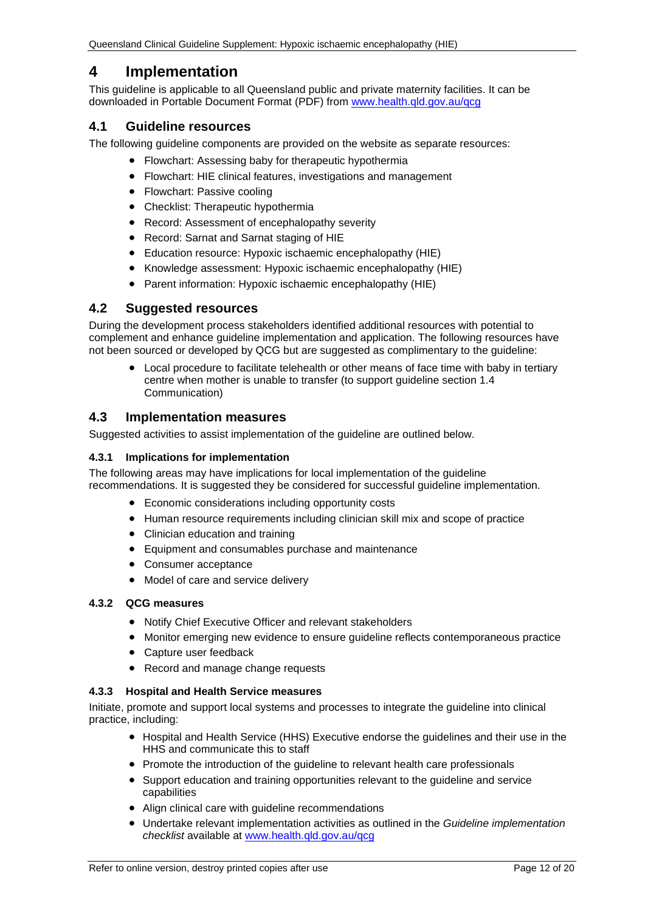# <span id="page-11-0"></span>**4 Implementation**

This guideline is applicable to all Queensland public and private maternity facilities. It can be downloaded in Portable Document Format (PDF) from [www.health.qld.gov.au/qcg](http://www.health.qld.gov.au/qcg)

#### <span id="page-11-1"></span>**4.1 Guideline resources**

The following guideline components are provided on the website as separate resources:

- Flowchart: Assessing baby for therapeutic hypothermia
- Flowchart: HIE clinical features, investigations and management
- Flowchart: Passive cooling
- Checklist: Therapeutic hypothermia
- Record: Assessment of encephalopathy severity
- Record: Sarnat and Sarnat staging of HIE
- Education resource: Hypoxic ischaemic encephalopathy (HIE)
- Knowledge assessment: Hypoxic ischaemic encephalopathy (HIE)
- Parent information: Hypoxic ischaemic encephalopathy (HIE)

#### <span id="page-11-2"></span>**4.2 Suggested resources**

During the development process stakeholders identified additional resources with potential to complement and enhance guideline implementation and application. The following resources have not been sourced or developed by QCG but are suggested as complimentary to the guideline:

• Local procedure to facilitate telehealth or other means of face time with baby in tertiary centre when mother is unable to transfer (to support guideline section 1.4 Communication)

#### <span id="page-11-3"></span>**4.3 Implementation measures**

Suggested activities to assist implementation of the quideline are outlined below.

#### <span id="page-11-4"></span>**4.3.1 Implications for implementation**

The following areas may have implications for local implementation of the guideline recommendations. It is suggested they be considered for successful guideline implementation.

- Economic considerations including opportunity costs
- Human resource requirements including clinician skill mix and scope of practice
- Clinician education and training
- Equipment and consumables purchase and maintenance
- Consumer acceptance
- Model of care and service delivery

#### <span id="page-11-5"></span>**4.3.2 QCG measures**

- Notify Chief Executive Officer and relevant stakeholders
- Monitor emerging new evidence to ensure guideline reflects contemporaneous practice
- Capture user feedback
- Record and manage change requests

#### <span id="page-11-6"></span>**4.3.3 Hospital and Health Service measures**

Initiate, promote and support local systems and processes to integrate the guideline into clinical practice, including:

- Hospital and Health Service (HHS) Executive endorse the guidelines and their use in the HHS and communicate this to staff
- Promote the introduction of the guideline to relevant health care professionals
- Support education and training opportunities relevant to the quideline and service capabilities
- Align clinical care with guideline recommendations
- Undertake relevant implementation activities as outlined in the *Guideline implementation checklist* available at [www.health.qld.gov.au/qcg](http://www.health.qld.gov.au/qcg)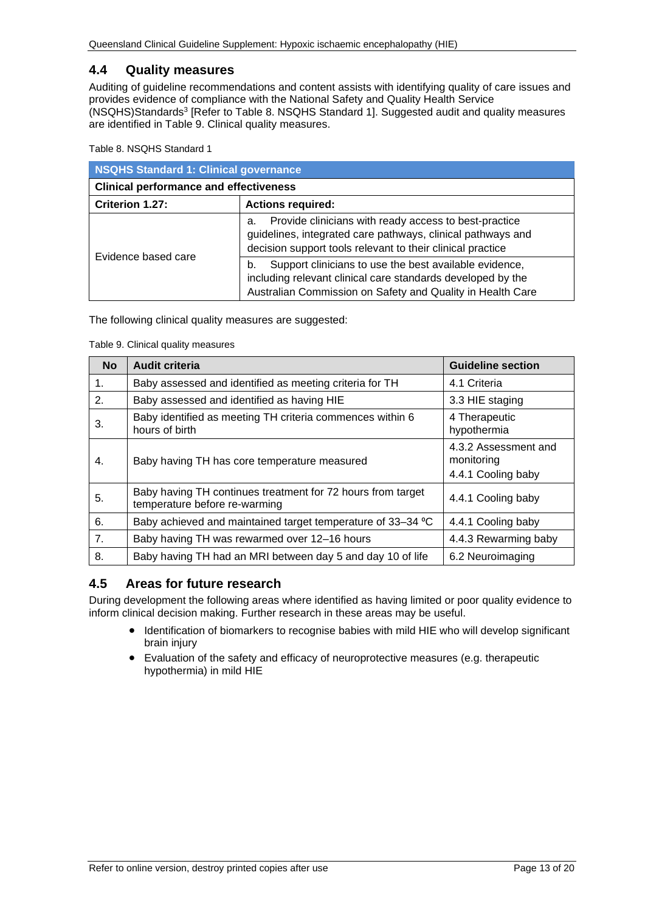#### <span id="page-12-0"></span>**4.4 Quality measures**

Auditing of guideline recommendations and content assists with identifying quality of care issues and provides evidence of compliance with the National Safety and Quality Health Service (NSQHS)Standards3 [Refer to Table 8. [NSQHS Standard 1\]](#page-12-2). Suggested audit and quality measures are identified in Table 9. [Clinical quality measures.](#page-12-3)

<span id="page-12-2"></span>Table 8. NSQHS Standard 1

| NSQHS Standard 1: Clinical governance         |                                                                                                                                                                                           |  |
|-----------------------------------------------|-------------------------------------------------------------------------------------------------------------------------------------------------------------------------------------------|--|
| <b>Clinical performance and effectiveness</b> |                                                                                                                                                                                           |  |
| Criterion 1.27:<br><b>Actions required:</b>   |                                                                                                                                                                                           |  |
| Evidence based care                           | Provide clinicians with ready access to best-practice<br>а.<br>guidelines, integrated care pathways, clinical pathways and<br>decision support tools relevant to their clinical practice  |  |
|                                               | Support clinicians to use the best available evidence,<br>b.<br>including relevant clinical care standards developed by the<br>Australian Commission on Safety and Quality in Health Care |  |

<span id="page-12-3"></span>The following clinical quality measures are suggested:

Table 9. Clinical quality measures

| <b>No</b>      | <b>Audit criteria</b>                                                                        | <b>Guideline section</b>                                 |
|----------------|----------------------------------------------------------------------------------------------|----------------------------------------------------------|
| 1.             | Baby assessed and identified as meeting criteria for TH                                      | 4.1 Criteria                                             |
| 2.             | Baby assessed and identified as having HIE                                                   | 3.3 HIE staging                                          |
| 3.             | Baby identified as meeting TH criteria commences within 6<br>hours of birth                  | 4 Therapeutic<br>hypothermia                             |
| 4.             | Baby having TH has core temperature measured                                                 | 4.3.2 Assessment and<br>monitoring<br>4.4.1 Cooling baby |
| 5.             | Baby having TH continues treatment for 72 hours from target<br>temperature before re-warming | 4.4.1 Cooling baby                                       |
| 6.             | Baby achieved and maintained target temperature of 33–34 °C                                  | 4.4.1 Cooling baby                                       |
| 7 <sub>1</sub> | Baby having TH was rewarmed over 12-16 hours                                                 | 4.4.3 Rewarming baby                                     |
| 8.             | Baby having TH had an MRI between day 5 and day 10 of life                                   | 6.2 Neuroimaging                                         |

#### <span id="page-12-1"></span>**4.5 Areas for future research**

During development the following areas where identified as having limited or poor quality evidence to inform clinical decision making. Further research in these areas may be useful.

- Identification of biomarkers to recognise babies with mild HIE who will develop significant brain injury
- Evaluation of the safety and efficacy of neuroprotective measures (e.g. therapeutic hypothermia) in mild HIE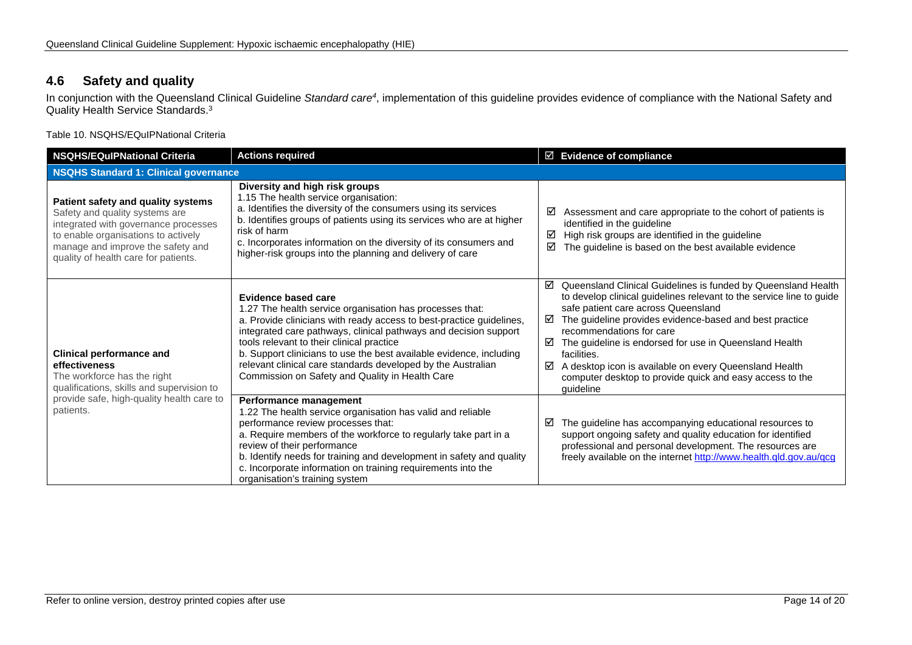### **4.6 Safety and quality**

In conjunction with the Queensland Clinical Guideline *Standard care4*, implementation of this guideline provides evidence of compliance with the National Safety and Quality Health Service Standards. 3

Table 10. NSQHS/EQuIPNational Criteria

<span id="page-13-1"></span><span id="page-13-0"></span>

| <b>NSQHS/EQuIPNational Criteria</b>                                                                                                                                                                                              | <b>Actions required</b>                                                                                                                                                                                                                                                                                                                                                                                                                                            | $\boxtimes$ Evidence of compliance                                                                                                                                                                                                                                                                                                                                                                                                                                                               |  |
|----------------------------------------------------------------------------------------------------------------------------------------------------------------------------------------------------------------------------------|--------------------------------------------------------------------------------------------------------------------------------------------------------------------------------------------------------------------------------------------------------------------------------------------------------------------------------------------------------------------------------------------------------------------------------------------------------------------|--------------------------------------------------------------------------------------------------------------------------------------------------------------------------------------------------------------------------------------------------------------------------------------------------------------------------------------------------------------------------------------------------------------------------------------------------------------------------------------------------|--|
| <b>NSQHS Standard 1: Clinical governance</b>                                                                                                                                                                                     |                                                                                                                                                                                                                                                                                                                                                                                                                                                                    |                                                                                                                                                                                                                                                                                                                                                                                                                                                                                                  |  |
| Patient safety and quality systems<br>Safety and quality systems are<br>integrated with governance processes<br>to enable organisations to actively<br>manage and improve the safety and<br>quality of health care for patients. | Diversity and high risk groups<br>1.15 The health service organisation:<br>a. Identifies the diversity of the consumers using its services<br>b. Identifies groups of patients using its services who are at higher<br>risk of harm<br>c. Incorporates information on the diversity of its consumers and<br>higher-risk groups into the planning and delivery of care                                                                                              | Assessment and care appropriate to the cohort of patients is<br>⊻<br>identified in the guideline<br>High risk groups are identified in the guideline<br>☑<br>The guideline is based on the best available evidence<br>☑                                                                                                                                                                                                                                                                          |  |
| <b>Clinical performance and</b><br>effectiveness<br>The workforce has the right<br>qualifications, skills and supervision to<br>provide safe, high-quality health care to<br>patients.                                           | Evidence based care<br>1.27 The health service organisation has processes that:<br>a. Provide clinicians with ready access to best-practice guidelines,<br>integrated care pathways, clinical pathways and decision support<br>tools relevant to their clinical practice<br>b. Support clinicians to use the best available evidence, including<br>relevant clinical care standards developed by the Australian<br>Commission on Safety and Quality in Health Care | ☑ Queensland Clinical Guidelines is funded by Queensland Health<br>to develop clinical guidelines relevant to the service line to guide<br>safe patient care across Queensland<br>The guideline provides evidence-based and best practice<br>☑<br>recommendations for care<br>☑<br>The guideline is endorsed for use in Queensland Health<br>facilities.<br>A desktop icon is available on every Queensland Health<br>☑<br>computer desktop to provide quick and easy access to the<br>quideline |  |
|                                                                                                                                                                                                                                  | Performance management<br>1.22 The health service organisation has valid and reliable<br>performance review processes that:<br>a. Require members of the workforce to regularly take part in a<br>review of their performance<br>b. Identify needs for training and development in safety and quality<br>c. Incorporate information on training requirements into the<br>organisation's training system                                                            | The guideline has accompanying educational resources to<br>☑<br>support ongoing safety and quality education for identified<br>professional and personal development. The resources are<br>freely available on the internet http://www.health.qld.gov.au/qcg                                                                                                                                                                                                                                     |  |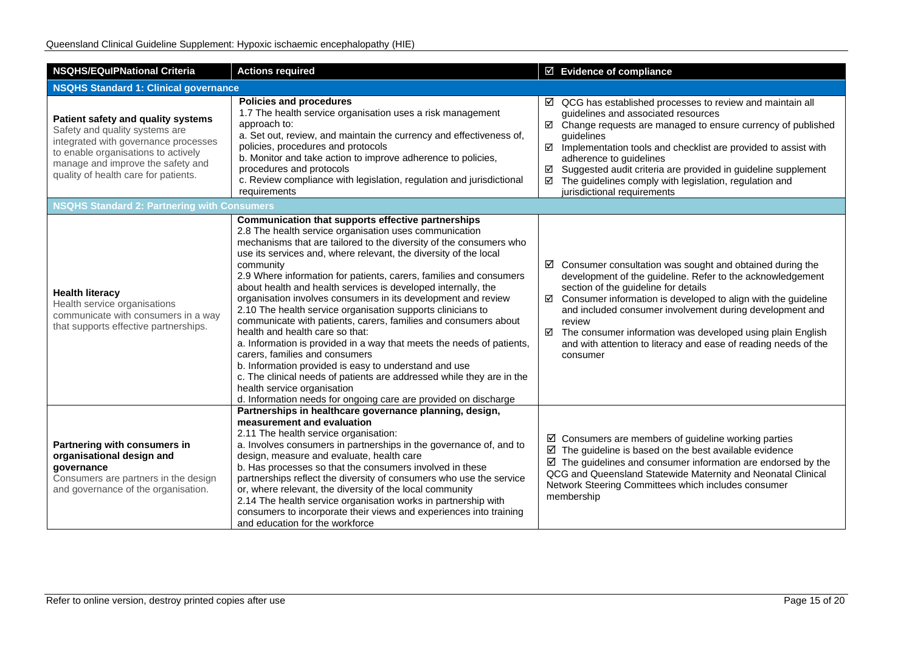| <b>NSQHS/EQuIPNational Criteria</b>                                                                                                                                                                                              | <b>Actions required</b>                                                                                                                                                                                                                                                                                                                                                                                                                                                                                                                                                                                                                                                                                                                                                                                                                                                                                                                                                                         | $\boxdot$ Evidence of compliance                                                                                                                                                                                                                                                                                                                                                                                                                                     |  |  |
|----------------------------------------------------------------------------------------------------------------------------------------------------------------------------------------------------------------------------------|-------------------------------------------------------------------------------------------------------------------------------------------------------------------------------------------------------------------------------------------------------------------------------------------------------------------------------------------------------------------------------------------------------------------------------------------------------------------------------------------------------------------------------------------------------------------------------------------------------------------------------------------------------------------------------------------------------------------------------------------------------------------------------------------------------------------------------------------------------------------------------------------------------------------------------------------------------------------------------------------------|----------------------------------------------------------------------------------------------------------------------------------------------------------------------------------------------------------------------------------------------------------------------------------------------------------------------------------------------------------------------------------------------------------------------------------------------------------------------|--|--|
| <b>NSQHS Standard 1: Clinical governance</b>                                                                                                                                                                                     |                                                                                                                                                                                                                                                                                                                                                                                                                                                                                                                                                                                                                                                                                                                                                                                                                                                                                                                                                                                                 |                                                                                                                                                                                                                                                                                                                                                                                                                                                                      |  |  |
| Patient safety and quality systems<br>Safety and quality systems are<br>integrated with governance processes<br>to enable organisations to actively<br>manage and improve the safety and<br>quality of health care for patients. | <b>Policies and procedures</b><br>1.7 The health service organisation uses a risk management<br>approach to:<br>a. Set out, review, and maintain the currency and effectiveness of,<br>policies, procedures and protocols<br>b. Monitor and take action to improve adherence to policies,<br>procedures and protocols<br>c. Review compliance with legislation, regulation and jurisdictional<br>requirements                                                                                                                                                                                                                                                                                                                                                                                                                                                                                                                                                                                   | $\boxtimes$ QCG has established processes to review and maintain all<br>guidelines and associated resources<br>☑ Change requests are managed to ensure currency of published<br>guidelines<br>$\boxtimes$ Implementation tools and checklist are provided to assist with<br>adherence to guidelines<br>Suggested audit criteria are provided in guideline supplement<br>☑<br>☑ The guidelines comply with legislation, regulation and<br>jurisdictional requirements |  |  |
| <b>NSQHS Standard 2: Partnering with Consumers</b>                                                                                                                                                                               |                                                                                                                                                                                                                                                                                                                                                                                                                                                                                                                                                                                                                                                                                                                                                                                                                                                                                                                                                                                                 |                                                                                                                                                                                                                                                                                                                                                                                                                                                                      |  |  |
| <b>Health literacy</b><br>Health service organisations<br>communicate with consumers in a way<br>that supports effective partnerships.                                                                                           | Communication that supports effective partnerships<br>2.8 The health service organisation uses communication<br>mechanisms that are tailored to the diversity of the consumers who<br>use its services and, where relevant, the diversity of the local<br>community<br>2.9 Where information for patients, carers, families and consumers<br>about health and health services is developed internally, the<br>organisation involves consumers in its development and review<br>2.10 The health service organisation supports clinicians to<br>communicate with patients, carers, families and consumers about<br>health and health care so that:<br>a. Information is provided in a way that meets the needs of patients,<br>carers, families and consumers<br>b. Information provided is easy to understand and use<br>c. The clinical needs of patients are addressed while they are in the<br>health service organisation<br>d. Information needs for ongoing care are provided on discharge | Consumer consultation was sought and obtained during the<br>⊻<br>development of the guideline. Refer to the acknowledgement<br>section of the guideline for details<br>Consumer information is developed to align with the guideline<br>☑<br>and included consumer involvement during development and<br>review<br>The consumer information was developed using plain English<br>☑<br>and with attention to literacy and ease of reading needs of the<br>consumer    |  |  |
| Partnering with consumers in<br>organisational design and<br>governance<br>Consumers are partners in the design<br>and governance of the organisation.                                                                           | Partnerships in healthcare governance planning, design,<br>measurement and evaluation<br>2.11 The health service organisation:<br>a. Involves consumers in partnerships in the governance of, and to<br>design, measure and evaluate, health care<br>b. Has processes so that the consumers involved in these<br>partnerships reflect the diversity of consumers who use the service<br>or, where relevant, the diversity of the local community<br>2.14 The health service organisation works in partnership with<br>consumers to incorporate their views and experiences into training<br>and education for the workforce                                                                                                                                                                                                                                                                                                                                                                     | $\boxtimes$ Consumers are members of guideline working parties<br>$\boxtimes$ The guideline is based on the best available evidence<br>$\boxtimes$ The guidelines and consumer information are endorsed by the<br>QCG and Queensland Statewide Maternity and Neonatal Clinical<br>Network Steering Committees which includes consumer<br>membership                                                                                                                  |  |  |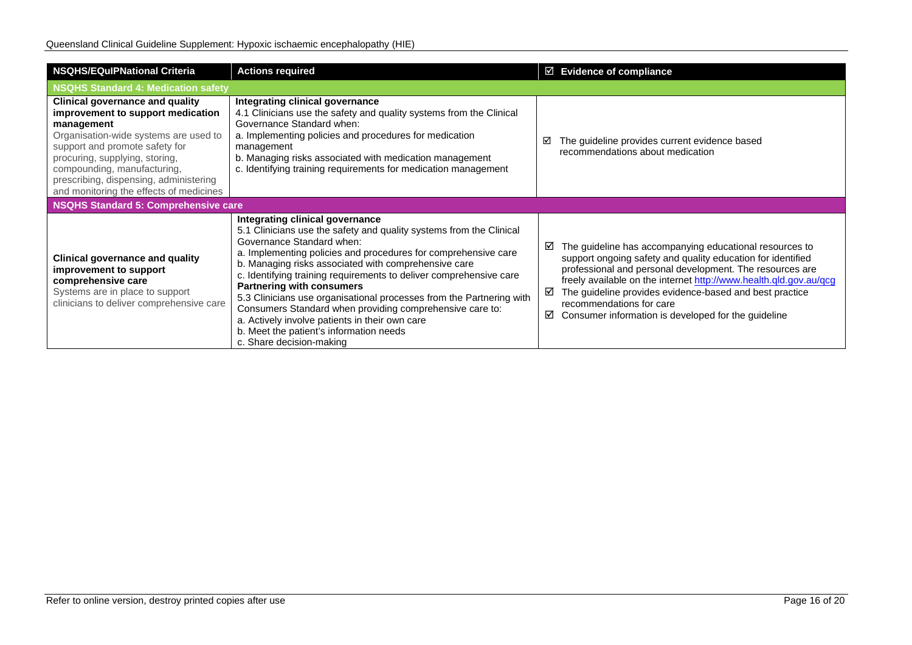| <b>NSQHS/EQulPNational Criteria</b>                                                                                                                                                                                                                                                                                        | <b>Actions required</b>                                                                                                                                                                                                                                                                                                                                                                                                                                                                                                                                                                                                              | $\boxtimes$ Evidence of compliance                                                                                                                                                                                                                                                                                                                                                                              |
|----------------------------------------------------------------------------------------------------------------------------------------------------------------------------------------------------------------------------------------------------------------------------------------------------------------------------|--------------------------------------------------------------------------------------------------------------------------------------------------------------------------------------------------------------------------------------------------------------------------------------------------------------------------------------------------------------------------------------------------------------------------------------------------------------------------------------------------------------------------------------------------------------------------------------------------------------------------------------|-----------------------------------------------------------------------------------------------------------------------------------------------------------------------------------------------------------------------------------------------------------------------------------------------------------------------------------------------------------------------------------------------------------------|
| <b>NSQHS Standard 4: Medication safety</b>                                                                                                                                                                                                                                                                                 |                                                                                                                                                                                                                                                                                                                                                                                                                                                                                                                                                                                                                                      |                                                                                                                                                                                                                                                                                                                                                                                                                 |
| <b>Clinical governance and quality</b><br>improvement to support medication<br>management<br>Organisation-wide systems are used to<br>support and promote safety for<br>procuring, supplying, storing,<br>compounding, manufacturing,<br>prescribing, dispensing, administering<br>and monitoring the effects of medicines | Integrating clinical governance<br>4.1 Clinicians use the safety and quality systems from the Clinical<br>Governance Standard when:<br>a. Implementing policies and procedures for medication<br>management<br>b. Managing risks associated with medication management<br>c. Identifying training requirements for medication management                                                                                                                                                                                                                                                                                             | The guideline provides current evidence based<br>☑<br>recommendations about medication                                                                                                                                                                                                                                                                                                                          |
| NSQHS Standard 5: Comprehensive care                                                                                                                                                                                                                                                                                       |                                                                                                                                                                                                                                                                                                                                                                                                                                                                                                                                                                                                                                      |                                                                                                                                                                                                                                                                                                                                                                                                                 |
| <b>Clinical governance and quality</b><br>improvement to support<br>comprehensive care<br>Systems are in place to support<br>clinicians to deliver comprehensive care                                                                                                                                                      | Integrating clinical governance<br>5.1 Clinicians use the safety and quality systems from the Clinical<br>Governance Standard when:<br>a. Implementing policies and procedures for comprehensive care<br>b. Managing risks associated with comprehensive care<br>c. Identifying training requirements to deliver comprehensive care<br><b>Partnering with consumers</b><br>5.3 Clinicians use organisational processes from the Partnering with<br>Consumers Standard when providing comprehensive care to:<br>a. Actively involve patients in their own care<br>b. Meet the patient's information needs<br>c. Share decision-making | The guideline has accompanying educational resources to<br>☑<br>support ongoing safety and quality education for identified<br>professional and personal development. The resources are<br>freely available on the internet http://www.health.qld.gov.au/qcg<br>The guideline provides evidence-based and best practice<br>recommendations for care<br>Consumer information is developed for the guideline<br>☑ |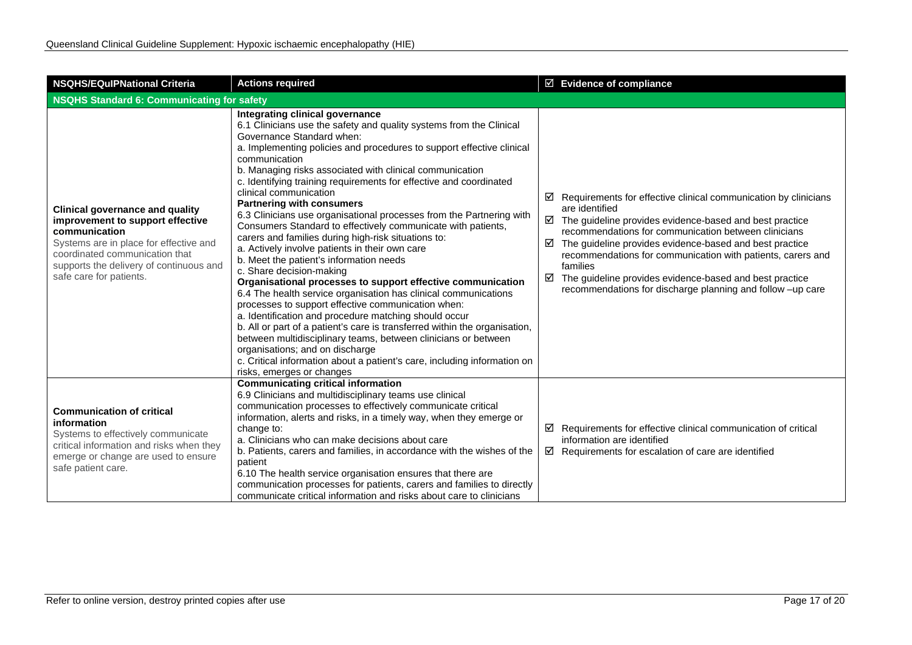| <b>NSQHS/EQulPNational Criteria</b>                                                                                                                                                                                                           | <b>Actions required</b>                                                                                                                                                                                                                                                                                                                                                                                                                                                                                                                                                                                                                                                                                                                                                                                                                                                                                                                                                                                                                                                                                                                                                                                                                                                                            | $\boxtimes$ Evidence of compliance                                                                                                                                                                                                                                                                                                                                                                                                                                                             |  |  |
|-----------------------------------------------------------------------------------------------------------------------------------------------------------------------------------------------------------------------------------------------|----------------------------------------------------------------------------------------------------------------------------------------------------------------------------------------------------------------------------------------------------------------------------------------------------------------------------------------------------------------------------------------------------------------------------------------------------------------------------------------------------------------------------------------------------------------------------------------------------------------------------------------------------------------------------------------------------------------------------------------------------------------------------------------------------------------------------------------------------------------------------------------------------------------------------------------------------------------------------------------------------------------------------------------------------------------------------------------------------------------------------------------------------------------------------------------------------------------------------------------------------------------------------------------------------|------------------------------------------------------------------------------------------------------------------------------------------------------------------------------------------------------------------------------------------------------------------------------------------------------------------------------------------------------------------------------------------------------------------------------------------------------------------------------------------------|--|--|
| NSQHS Standard 6: Communicating for safety                                                                                                                                                                                                    |                                                                                                                                                                                                                                                                                                                                                                                                                                                                                                                                                                                                                                                                                                                                                                                                                                                                                                                                                                                                                                                                                                                                                                                                                                                                                                    |                                                                                                                                                                                                                                                                                                                                                                                                                                                                                                |  |  |
| <b>Clinical governance and quality</b><br>improvement to support effective<br>communication<br>Systems are in place for effective and<br>coordinated communication that<br>supports the delivery of continuous and<br>safe care for patients. | Integrating clinical governance<br>6.1 Clinicians use the safety and quality systems from the Clinical<br>Governance Standard when:<br>a. Implementing policies and procedures to support effective clinical<br>communication<br>b. Managing risks associated with clinical communication<br>c. Identifying training requirements for effective and coordinated<br>clinical communication<br><b>Partnering with consumers</b><br>6.3 Clinicians use organisational processes from the Partnering with<br>Consumers Standard to effectively communicate with patients,<br>carers and families during high-risk situations to:<br>a. Actively involve patients in their own care<br>b. Meet the patient's information needs<br>c. Share decision-making<br>Organisational processes to support effective communication<br>6.4 The health service organisation has clinical communications<br>processes to support effective communication when:<br>a. Identification and procedure matching should occur<br>b. All or part of a patient's care is transferred within the organisation,<br>between multidisciplinary teams, between clinicians or between<br>organisations; and on discharge<br>c. Critical information about a patient's care, including information on<br>risks, emerges or changes | ☑<br>Requirements for effective clinical communication by clinicians<br>are identified<br>$\boxtimes$ The guideline provides evidence-based and best practice<br>recommendations for communication between clinicians<br>The guideline provides evidence-based and best practice<br>☑<br>recommendations for communication with patients, carers and<br>families<br>☑<br>The guideline provides evidence-based and best practice<br>recommendations for discharge planning and follow -up care |  |  |
| <b>Communication of critical</b><br>information<br>Systems to effectively communicate<br>critical information and risks when they<br>emerge or change are used to ensure<br>safe patient care.                                                | <b>Communicating critical information</b><br>6.9 Clinicians and multidisciplinary teams use clinical<br>communication processes to effectively communicate critical<br>information, alerts and risks, in a timely way, when they emerge or<br>change to:<br>a. Clinicians who can make decisions about care<br>b. Patients, carers and families, in accordance with the wishes of the<br>patient<br>6.10 The health service organisation ensures that there are<br>communication processes for patients, carers and families to directly<br>communicate critical information and risks about care to clinicians                                                                                                                                                                                                                                                                                                                                                                                                                                                                                                                                                                                                                                                                                    | $\boxtimes$ Requirements for effective clinical communication of critical<br>information are identified<br>$\boxtimes$ Requirements for escalation of care are identified                                                                                                                                                                                                                                                                                                                      |  |  |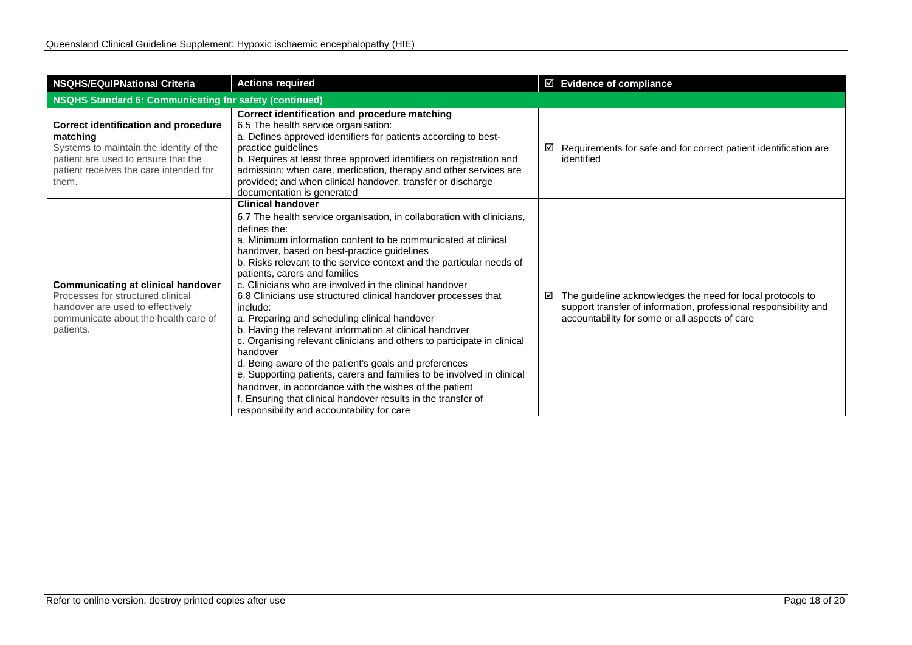| <b>NSQHS/EQulPNational Criteria</b>                                                                                                                                                          | <b>Actions required</b>                                                                                                                                                                                                                                                                                                                                                                                                                                                                                                                                                                                                                                                                                                                                                                                                                                                                                                                                                                             | ☑ Evidence of compliance                                                                                                                                                              |  |
|----------------------------------------------------------------------------------------------------------------------------------------------------------------------------------------------|-----------------------------------------------------------------------------------------------------------------------------------------------------------------------------------------------------------------------------------------------------------------------------------------------------------------------------------------------------------------------------------------------------------------------------------------------------------------------------------------------------------------------------------------------------------------------------------------------------------------------------------------------------------------------------------------------------------------------------------------------------------------------------------------------------------------------------------------------------------------------------------------------------------------------------------------------------------------------------------------------------|---------------------------------------------------------------------------------------------------------------------------------------------------------------------------------------|--|
| NSQHS Standard 6: Communicating for safety (continued)                                                                                                                                       |                                                                                                                                                                                                                                                                                                                                                                                                                                                                                                                                                                                                                                                                                                                                                                                                                                                                                                                                                                                                     |                                                                                                                                                                                       |  |
| <b>Correct identification and procedure</b><br>matching<br>Systems to maintain the identity of the<br>patient are used to ensure that the<br>patient receives the care intended for<br>them. | Correct identification and procedure matching<br>6.5 The health service organisation:<br>a. Defines approved identifiers for patients according to best-<br>practice guidelines<br>b. Requires at least three approved identifiers on registration and<br>admission; when care, medication, therapy and other services are<br>provided; and when clinical handover, transfer or discharge<br>documentation is generated                                                                                                                                                                                                                                                                                                                                                                                                                                                                                                                                                                             | Requirements for safe and for correct patient identification are<br>⊻<br>identified                                                                                                   |  |
| <b>Communicating at clinical handover</b><br>Processes for structured clinical<br>handover are used to effectively<br>communicate about the health care of<br>patients.                      | <b>Clinical handover</b><br>6.7 The health service organisation, in collaboration with clinicians,<br>defines the:<br>a. Minimum information content to be communicated at clinical<br>handover, based on best-practice guidelines<br>b. Risks relevant to the service context and the particular needs of<br>patients, carers and families<br>c. Clinicians who are involved in the clinical handover<br>6.8 Clinicians use structured clinical handover processes that<br>include:<br>a. Preparing and scheduling clinical handover<br>b. Having the relevant information at clinical handover<br>c. Organising relevant clinicians and others to participate in clinical<br>handover<br>d. Being aware of the patient's goals and preferences<br>e. Supporting patients, carers and families to be involved in clinical<br>handover, in accordance with the wishes of the patient<br>f. Ensuring that clinical handover results in the transfer of<br>responsibility and accountability for care | The guideline acknowledges the need for local protocols to<br>☑<br>support transfer of information, professional responsibility and<br>accountability for some or all aspects of care |  |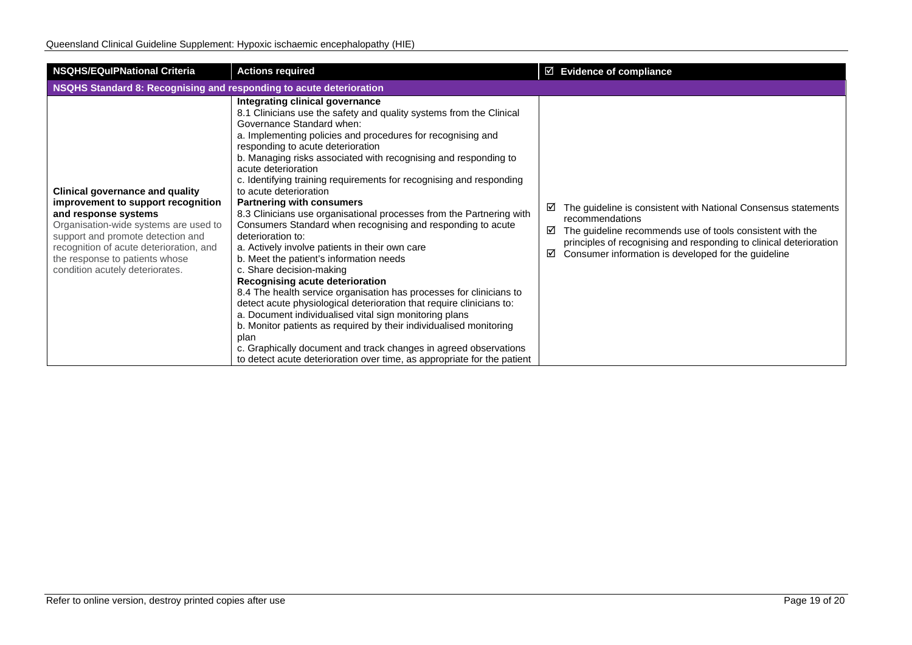| <b>NSQHS/EQuIPNational Criteria</b>                                                                                                                                                                                                                                                                | <b>Actions required</b>                                                                                                                                                                                                                                                                                                                                                                                                                                                                                                                                                                                                                                                                                                                                                                                                                                                                                                                                                                                                                                                                                                                                                                                                              | $\boxtimes$ Evidence of compliance                                                                                                                                                                                                                                                         |  |  |
|----------------------------------------------------------------------------------------------------------------------------------------------------------------------------------------------------------------------------------------------------------------------------------------------------|--------------------------------------------------------------------------------------------------------------------------------------------------------------------------------------------------------------------------------------------------------------------------------------------------------------------------------------------------------------------------------------------------------------------------------------------------------------------------------------------------------------------------------------------------------------------------------------------------------------------------------------------------------------------------------------------------------------------------------------------------------------------------------------------------------------------------------------------------------------------------------------------------------------------------------------------------------------------------------------------------------------------------------------------------------------------------------------------------------------------------------------------------------------------------------------------------------------------------------------|--------------------------------------------------------------------------------------------------------------------------------------------------------------------------------------------------------------------------------------------------------------------------------------------|--|--|
| NSQHS Standard 8: Recognising and responding to acute deterioration                                                                                                                                                                                                                                |                                                                                                                                                                                                                                                                                                                                                                                                                                                                                                                                                                                                                                                                                                                                                                                                                                                                                                                                                                                                                                                                                                                                                                                                                                      |                                                                                                                                                                                                                                                                                            |  |  |
| <b>Clinical governance and quality</b><br>improvement to support recognition<br>and response systems<br>Organisation-wide systems are used to<br>support and promote detection and<br>recognition of acute deterioration, and<br>the response to patients whose<br>condition acutely deteriorates. | Integrating clinical governance<br>8.1 Clinicians use the safety and quality systems from the Clinical<br>Governance Standard when:<br>a. Implementing policies and procedures for recognising and<br>responding to acute deterioration<br>b. Managing risks associated with recognising and responding to<br>acute deterioration<br>c. Identifying training requirements for recognising and responding<br>to acute deterioration<br><b>Partnering with consumers</b><br>8.3 Clinicians use organisational processes from the Partnering with<br>Consumers Standard when recognising and responding to acute<br>deterioration to:<br>a. Actively involve patients in their own care<br>b. Meet the patient's information needs<br>c. Share decision-making<br>Recognising acute deterioration<br>8.4 The health service organisation has processes for clinicians to<br>detect acute physiological deterioration that require clinicians to:<br>a. Document individualised vital sign monitoring plans<br>b. Monitor patients as required by their individualised monitoring<br>plan<br>c. Graphically document and track changes in agreed observations<br>to detect acute deterioration over time, as appropriate for the patient | The guideline is consistent with National Consensus statements<br>⊻<br>recommendations<br>The guideline recommends use of tools consistent with the<br>☑<br>principles of recognising and responding to clinical deterioration<br>Consumer information is developed for the guideline<br>☑ |  |  |